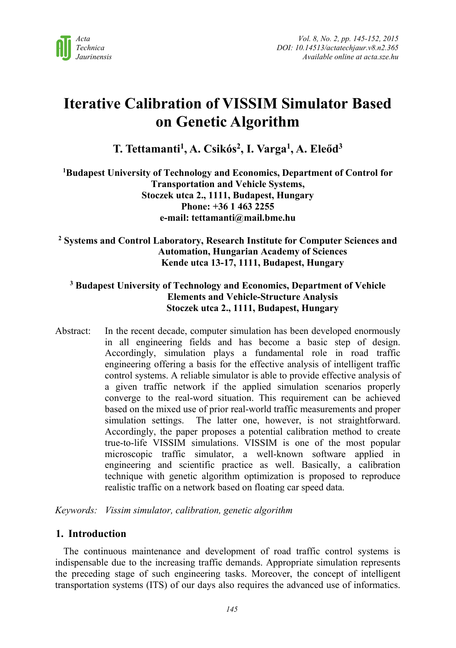

# **Iterative Calibration of VISSIM Simulator Based on Genetic Algorithm**

**T. Tettamanti1, A. Csikós2, I. Varga1, A. Eleőd3** 

**1 Budapest University of Technology and Economics, Department of Control for Transportation and Vehicle Systems, Stoczek utca 2., 1111, Budapest, Hungary Phone: +36 1 463 2255 e-mail: tettamanti@mail.bme.hu** 

**2 Systems and Control Laboratory, Research Institute for Computer Sciences and Automation, Hungarian Academy of Sciences Kende utca 13-17, 1111, Budapest, Hungary**

# **3 Budapest University of Technology and Economics, Department of Vehicle Elements and Vehicle-Structure Analysis Stoczek utca 2., 1111, Budapest, Hungary**

Abstract: In the recent decade, computer simulation has been developed enormously in all engineering fields and has become a basic step of design. Accordingly, simulation plays a fundamental role in road traffic engineering offering a basis for the effective analysis of intelligent traffic control systems. A reliable simulator is able to provide effective analysis of a given traffic network if the applied simulation scenarios properly converge to the real-word situation. This requirement can be achieved based on the mixed use of prior real-world traffic measurements and proper simulation settings. The latter one, however, is not straightforward. Accordingly, the paper proposes a potential calibration method to create true-to-life VISSIM simulations. VISSIM is one of the most popular microscopic traffic simulator, a well-known software applied in engineering and scientific practice as well. Basically, a calibration technique with genetic algorithm optimization is proposed to reproduce realistic traffic on a network based on floating car speed data.

*Keywords: Vissim simulator, calibration, genetic algorithm* 

# **1. Introduction**

The continuous maintenance and development of road traffic control systems is indispensable due to the increasing traffic demands. Appropriate simulation represents the preceding stage of such engineering tasks. Moreover, the concept of intelligent transportation systems (ITS) of our days also requires the advanced use of informatics.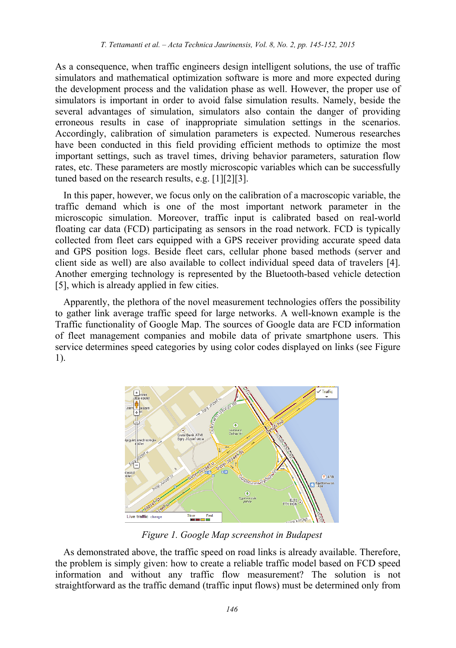As a consequence, when traffic engineers design intelligent solutions, the use of traffic simulators and mathematical optimization software is more and more expected during the development process and the validation phase as well. However, the proper use of simulators is important in order to avoid false simulation results. Namely, beside the several advantages of simulation, simulators also contain the danger of providing erroneous results in case of inappropriate simulation settings in the scenarios. Accordingly, calibration of simulation parameters is expected. Numerous researches have been conducted in this field providing efficient methods to optimize the most important settings, such as travel times, driving behavior parameters, saturation flow rates, etc. These parameters are mostly microscopic variables which can be successfully tuned based on the research results, e.g. [1][2][3].

In this paper, however, we focus only on the calibration of a macroscopic variable, the traffic demand which is one of the most important network parameter in the microscopic simulation. Moreover, traffic input is calibrated based on real-world floating car data (FCD) participating as sensors in the road network. FCD is typically collected from fleet cars equipped with a GPS receiver providing accurate speed data and GPS position logs. Beside fleet cars, cellular phone based methods (server and client side as well) are also available to collect individual speed data of travelers [4]. Another emerging technology is represented by the Bluetooth-based vehicle detection [5], which is already applied in few cities.

Apparently, the plethora of the novel measurement technologies offers the possibility to gather link average traffic speed for large networks. A well-known example is the Traffic functionality of Google Map. The sources of Google data are FCD information of fleet management companies and mobile data of private smartphone users. This service determines speed categories by using color codes displayed on links (see Figure 1).



*Figure 1. Google Map screenshot in Budapest* 

As demonstrated above, the traffic speed on road links is already available. Therefore, the problem is simply given: how to create a reliable traffic model based on FCD speed information and without any traffic flow measurement? The solution is not straightforward as the traffic demand (traffic input flows) must be determined only from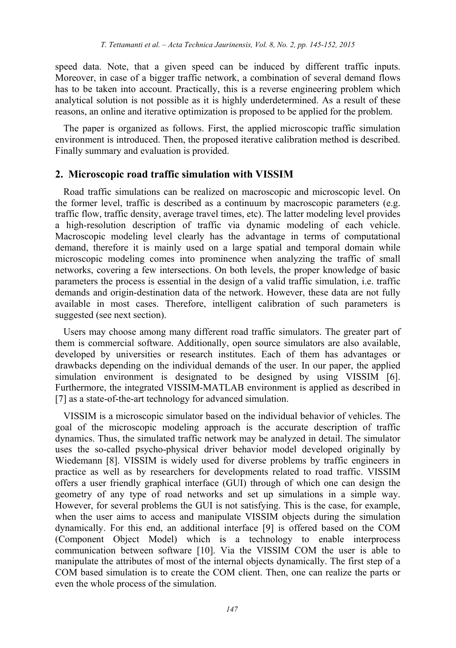speed data. Note, that a given speed can be induced by different traffic inputs. Moreover, in case of a bigger traffic network, a combination of several demand flows has to be taken into account. Practically, this is a reverse engineering problem which analytical solution is not possible as it is highly underdetermined. As a result of these reasons, an online and iterative optimization is proposed to be applied for the problem.

The paper is organized as follows. First, the applied microscopic traffic simulation environment is introduced. Then, the proposed iterative calibration method is described. Finally summary and evaluation is provided.

#### **2. Microscopic road traffic simulation with VISSIM**

Road traffic simulations can be realized on macroscopic and microscopic level. On the former level, traffic is described as a continuum by macroscopic parameters (e.g. traffic flow, traffic density, average travel times, etc). The latter modeling level provides a high-resolution description of traffic via dynamic modeling of each vehicle. Macroscopic modeling level clearly has the advantage in terms of computational demand, therefore it is mainly used on a large spatial and temporal domain while microscopic modeling comes into prominence when analyzing the traffic of small networks, covering a few intersections. On both levels, the proper knowledge of basic parameters the process is essential in the design of a valid traffic simulation, i.e. traffic demands and origin-destination data of the network. However, these data are not fully available in most cases. Therefore, intelligent calibration of such parameters is suggested (see next section).

Users may choose among many different road traffic simulators. The greater part of them is commercial software. Additionally, open source simulators are also available, developed by universities or research institutes. Each of them has advantages or drawbacks depending on the individual demands of the user. In our paper, the applied simulation environment is designated to be designed by using VISSIM [6]. Furthermore, the integrated VISSIM-MATLAB environment is applied as described in [7] as a state-of-the-art technology for advanced simulation.

VISSIM is a microscopic simulator based on the individual behavior of vehicles. The goal of the microscopic modeling approach is the accurate description of traffic dynamics. Thus, the simulated traffic network may be analyzed in detail. The simulator uses the so-called psycho-physical driver behavior model developed originally by Wiedemann [8]. VISSIM is widely used for diverse problems by traffic engineers in practice as well as by researchers for developments related to road traffic. VISSIM offers a user friendly graphical interface (GUI) through of which one can design the geometry of any type of road networks and set up simulations in a simple way. However, for several problems the GUI is not satisfying. This is the case, for example, when the user aims to access and manipulate VISSIM objects during the simulation dynamically. For this end, an additional interface [9] is offered based on the COM (Component Object Model) which is a technology to enable interprocess communication between software [10]. Via the VISSIM COM the user is able to manipulate the attributes of most of the internal objects dynamically. The first step of a COM based simulation is to create the COM client. Then, one can realize the parts or even the whole process of the simulation.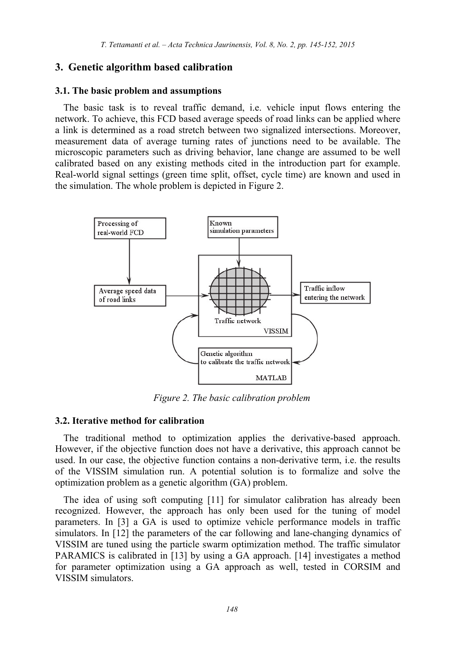# **3. Genetic algorithm based calibration**

#### **3.1. The basic problem and assumptions**

The basic task is to reveal traffic demand, i.e. vehicle input flows entering the network. To achieve, this FCD based average speeds of road links can be applied where a link is determined as a road stretch between two signalized intersections. Moreover, measurement data of average turning rates of junctions need to be available. The microscopic parameters such as driving behavior, lane change are assumed to be well calibrated based on any existing methods cited in the introduction part for example. Real-world signal settings (green time split, offset, cycle time) are known and used in the simulation. The whole problem is depicted in Figure 2.



*Figure 2. The basic calibration problem* 

## **3.2. Iterative method for calibration**

The traditional method to optimization applies the derivative-based approach. However, if the objective function does not have a derivative, this approach cannot be used. In our case, the objective function contains a non-derivative term, i.e. the results of the VISSIM simulation run. A potential solution is to formalize and solve the optimization problem as a genetic algorithm (GA) problem.

The idea of using soft computing [11] for simulator calibration has already been recognized. However, the approach has only been used for the tuning of model parameters. In [3] a GA is used to optimize vehicle performance models in traffic simulators. In [12] the parameters of the car following and lane-changing dynamics of VISSIM are tuned using the particle swarm optimization method. The traffic simulator PARAMICS is calibrated in [13] by using a GA approach. [14] investigates a method for parameter optimization using a GA approach as well, tested in CORSIM and VISSIM simulators.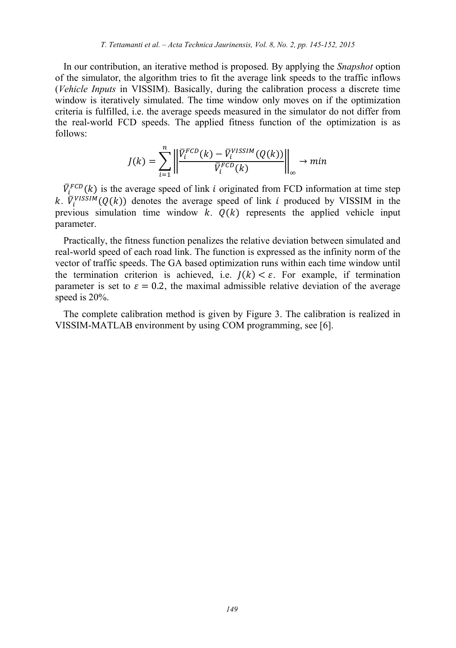In our contribution, an iterative method is proposed. By applying the *Snapshot* option of the simulator, the algorithm tries to fit the average link speeds to the traffic inflows (*Vehicle Inputs* in VISSIM). Basically, during the calibration process a discrete time window is iteratively simulated. The time window only moves on if the optimization criteria is fulfilled, i.e. the average speeds measured in the simulator do not differ from the real-world FCD speeds. The applied fitness function of the optimization is as follows:

$$
J(k)=\sum_{i=1}^n \left|\left|\frac{\bar{V}_i^{FCD}(k)-\bar{V}_i^{VISSIM}(Q(k))}{\bar{V}_i^{FCD}(k)}\right|\right|_\infty \to min
$$

 $\overline{V}_{i}^{FCD}(k)$  is the average speed of link *i* originated from FCD information at time step k.  $\overline{V}_i^{VISSIM}(Q(k))$  denotes the average speed of link *i* produced by VISSIM in the previous simulation time window  $k$ .  $Q(k)$  represents the applied vehicle input parameter.

Practically, the fitness function penalizes the relative deviation between simulated and real-world speed of each road link. The function is expressed as the infinity norm of the vector of traffic speeds. The GA based optimization runs within each time window until the termination criterion is achieved, i.e.  $I(k) < \varepsilon$ . For example, if termination parameter is set to  $\varepsilon = 0.2$ , the maximal admissible relative deviation of the average speed is 20%.

The complete calibration method is given by Figure 3. The calibration is realized in VISSIM-MATLAB environment by using COM programming, see [6].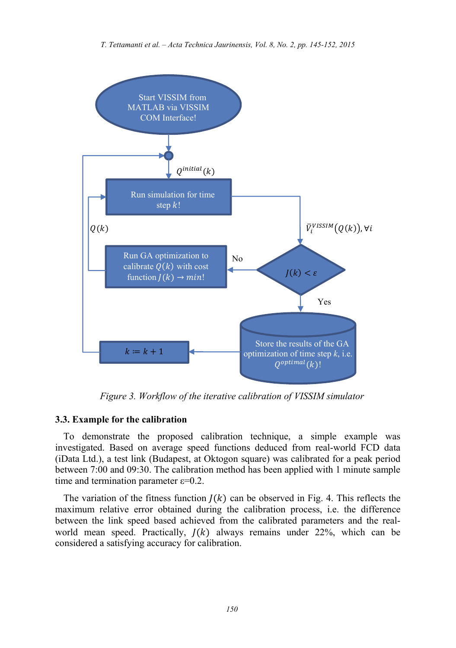

*Figure 3. Workflow of the iterative calibration of VISSIM simulator* 

#### **3.3. Example for the calibration**

To demonstrate the proposed calibration technique, a simple example was investigated. Based on average speed functions deduced from real-world FCD data (iData Ltd.), a test link (Budapest, at Oktogon square) was calibrated for a peak period between 7:00 and 09:30. The calibration method has been applied with 1 minute sample time and termination parameter  $\varepsilon$ =0.2.

The variation of the fitness function  $I(k)$  can be observed in Fig. 4. This reflects the maximum relative error obtained during the calibration process, i.e. the difference between the link speed based achieved from the calibrated parameters and the realworld mean speed. Practically,  $J(k)$  always remains under 22%, which can be considered a satisfying accuracy for calibration.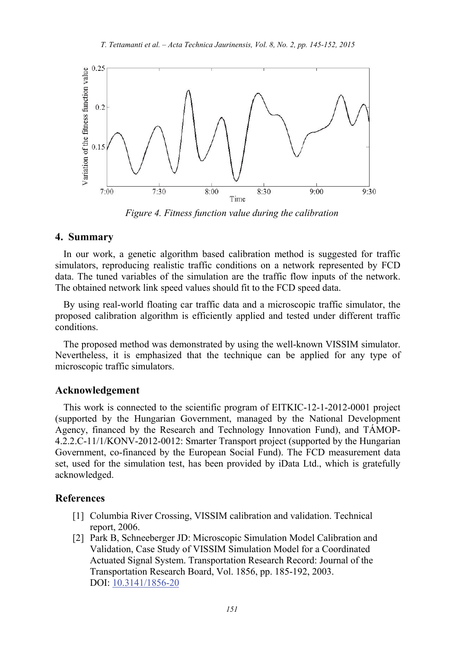

*Figure 4. Fitness function value during the calibration* 

# **4. Summary**

In our work, a genetic algorithm based calibration method is suggested for traffic simulators, reproducing realistic traffic conditions on a network represented by FCD data. The tuned variables of the simulation are the traffic flow inputs of the network. The obtained network link speed values should fit to the FCD speed data.

By using real-world floating car traffic data and a microscopic traffic simulator, the proposed calibration algorithm is efficiently applied and tested under different traffic conditions.

The proposed method was demonstrated by using the well-known VISSIM simulator. Nevertheless, it is emphasized that the technique can be applied for any type of microscopic traffic simulators.

#### **Acknowledgement**

This work is connected to the scientific program of EITKIC-12-1-2012-0001 project (supported by the Hungarian Government, managed by the National Development Agency, financed by the Research and Technology Innovation Fund), and TÁMOP-4.2.2.C-11/1/KONV-2012-0012: Smarter Transport project (supported by the Hungarian Government, co-financed by the European Social Fund). The FCD measurement data set, used for the simulation test, has been provided by iData Ltd., which is gratefully acknowledged.

## **References**

- [1] Columbia River Crossing, VISSIM calibration and validation. Technical report, 2006.
- [2] Park B, Schneeberger JD: Microscopic Simulation Model Calibration and Validation, Case Study of VISSIM Simulation Model for a Coordinated Actuated Signal System. Transportation Research Record: Journal of the Transportation Research Board, Vol. 1856, pp. 185-192, 2003. DOI: 10.3141/1856-20